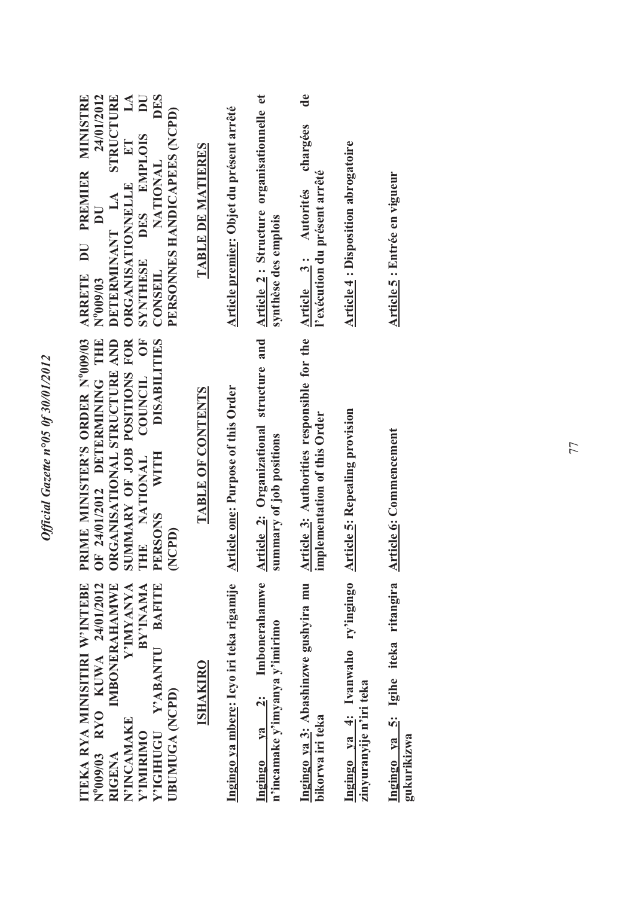| <b>MT</b><br><b>DES</b><br>24/01/2012<br>STRUCTURE<br>ARRETE DU PREMIER MINISTRE<br>PERSONNES HANDICAPEES (NCPD)<br>DES EMPLOIS<br>ET<br><b>NATIONAL</b><br><b>ORGANISATIONNELLE</b><br>DETERMINANT LA<br>$\overline{\mathsf{I}}$<br>SYNTHESE<br><b>CONSEIL</b><br>$N^{0}009/03$ | TABLE DE MATIERES | Article premier: Objet du présent arrêté  | Article 2: Structure organisationnelle et<br>synthèse des emplois   | $\mathbf{d}\mathbf{e}$<br>chargées<br>l'exécution du présent arrêté<br>Article 3: Autorités | <b>Article 4: Disposition abrogatoire</b>                    | <u>Article 5</u> : Entrée en vigueur               |
|----------------------------------------------------------------------------------------------------------------------------------------------------------------------------------------------------------------------------------------------------------------------------------|-------------------|-------------------------------------------|---------------------------------------------------------------------|---------------------------------------------------------------------------------------------|--------------------------------------------------------------|----------------------------------------------------|
| PRIME MINISTER'S ORDER Nº009/03<br><b>DISABILITIES</b><br>OF 24/01/2012 DETERMINING THE<br>ORGANISATIONAL STRUCTURE AND<br>COUNCIL OF<br>SUMMARY OF JOB POSITIONS FOR<br>THE NATIONAL<br><b>WITH</b><br><b>PERSONS</b><br>(NCPD)                                                 | TABLE OF CONTENTS | <b>Article one: Purpose of this Order</b> | Article 2: Organizational structure and<br>summary of job positions | Article 3: Authorities responsible for the<br>implementation of this Order                  | <b>Article 5: Repealing provision</b>                        | Article 6: Commencement                            |
| <b>TEKA RYA MINISITIRI W'INTEBE</b><br>IMBONERAHAMWE<br><b>BAFITE</b><br>N°009/03 RYO KUWA 24/01/2012<br>Y'IMYANYA<br>BY'INAMA<br>Y'ABANTU<br>UBUMUGA (NCPD)<br>N'INCAMAKE<br><b>Y'IGHIUGU</b><br><b>V'IMIRIMO</b><br><b>RIGENA</b>                                              | <b>ISHAKIRO</b>   | Ingingo ya mbere: Icyo iri teka rigamije  | ya 2: Imbonerahamwe<br>n'incamake y'imyanya y'imirimo<br>Ingingo    | Ingingo ya 3: Abashinzwe gushyira mu<br>bikorwa iri teka                                    | Ingingo ya 4: Ivanwaho ry'ingingo<br>zinyuranyije n'iri teka | Ingingo ya 5: Igihe iteka ritangira<br>gukurikizwa |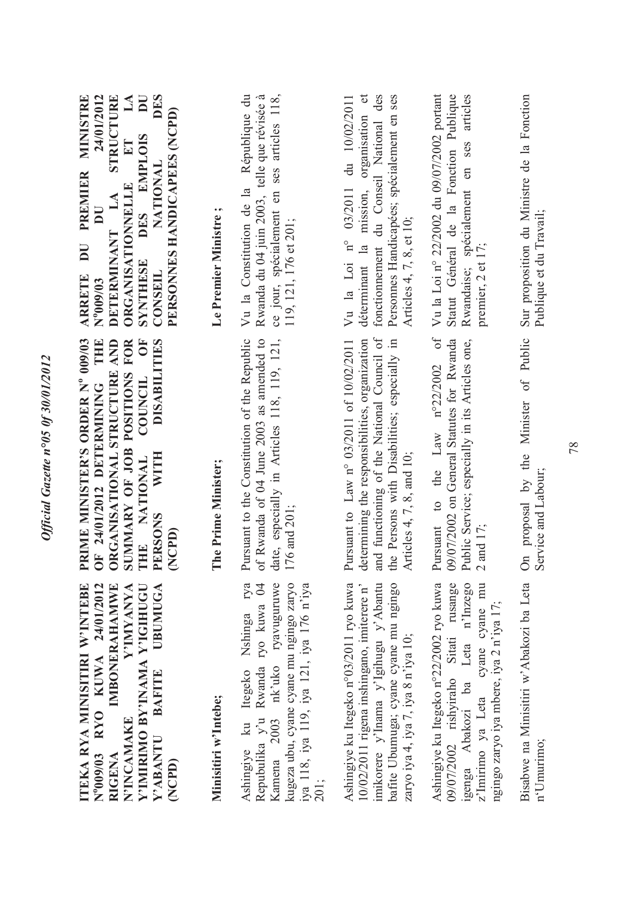| Y'IMIRIMO BY'INAMA Y'IGIHUGU<br>ITEKA RYA MINISITIRI W'INTEBE<br>RYO KUWA 24/01/2012<br><b>IMBONERAHAMWE</b><br>Y'IMYANYA<br>UBUMUGA<br><b>BAFITE</b><br><b>N'INCAMAKE</b><br>Y'ABANTU<br>$N^{9}009/03$<br>RIGENA<br>(NCPD) | RIME MINISTER'S ORDER Nº 009/03<br><b>THE</b><br><b>DF</b><br><b>DISABILITIES</b><br>RGANISATIONAL STRUCTURE AND<br>SUMMARY OF JOB POSITIONS FOR<br>COUNCIL<br>OF 24/01/2012 DETERMINING<br><b>WITH</b><br>THE NATIONAL<br><b>PERSONS</b><br>(NCPD)<br>E<br>$\ddot{\bullet}$ | <b>DES</b><br>MINISTRE<br>24/01/2012<br>STRUCTURE<br>$\mathbf{L}\mathbf{A}$<br>$\overline{\mathbf{D}}$<br>PERSONNES HANDICAPEES (NCPD)<br>DES EMPLOIS<br>ET<br>NATIONAL<br><b>PREMIER</b><br><b>ORGANISATIONNELLE</b><br>$L\mathbf{A}$<br>$\mathbf{U}$<br>DETERMINANT<br>$\overline{\mathbf{D}}$<br>SYNTHESE<br>CONSEIL<br><b>ARRETE</b><br>$N^{0}000^{0}N$ |
|-----------------------------------------------------------------------------------------------------------------------------------------------------------------------------------------------------------------------------|------------------------------------------------------------------------------------------------------------------------------------------------------------------------------------------------------------------------------------------------------------------------------|-------------------------------------------------------------------------------------------------------------------------------------------------------------------------------------------------------------------------------------------------------------------------------------------------------------------------------------------------------------|
| Minisitiri w'Intebe;                                                                                                                                                                                                        | The Prime Minister;                                                                                                                                                                                                                                                          | Le Premier Ministre;                                                                                                                                                                                                                                                                                                                                        |
| Kamena 2003 nk'uko ryavuguruwe<br>Nshinga rya<br>kugeza ubu, cyane cyane mu ngingo zaryo<br>Repubulika y'u Rwanda ryo kuwa 04<br>iya 118, iya 119, iya 121, iya 176 n'iya<br>Ashingiye ku Itegeko<br>201;                   | Pursuant to the Constitution of the Republic<br>of Rwanda of 04 June 2003 as amended to<br>date, especially in Articles 118, 119, 121,<br>176 and 201;                                                                                                                       | Vu la Constitution de la République du<br>Rwanda du 04 juin 2003, telle que révisée à<br>ce jour, spécialement en ses articles 118,<br>119, 121, 176 et 201;                                                                                                                                                                                                |
| Ashingiye ku Itegeko n°03/2011 ryo kuwa<br>bafite Ubumuga; cyane cyane mu ngingo<br>imikorere y'Inama y'Igihugu y'Abantu<br>10/02/2011 rigena inshingano, imiterere n'<br>zaryo iya 4, iya 7, iya 8 n'iya 10;               | and functioning of the National Council of<br>determining the responsibilities, organization<br>the Persons with Disabilities; especially in<br>Pursuant to Law n° 03/2011 of 10/02/2011<br>Articles $4, 7, 8$ , and 10;                                                     | organisation et<br>fonctionnement du Conseil National des<br>Personnes Handicapées; spécialement en ses<br>du 10/02/2011<br>mission,<br>03/2011<br>Articles 4, 7, 8, et 10;<br>Vu la Loi n°<br>déterminant la                                                                                                                                               |
| Ashingiye ku Itegeko n°22/2002 ryo kuwa<br>09/07/2002 rishyiraho Sitati rusange<br>igenga Abakozi ba Leta n'Inzego<br>z'Imirimo ya Leta cyane cyane mu<br>ngingo zaryo iya mbere, iya 2 n'iya 17;                           | Pursuant to the Law $n^{\circ}22/2002$ of<br>09/07/2002 on General Statutes for Rwanda<br>Public Service; especially in its Articles one,<br>2 and 17;                                                                                                                       | Vu la Loi nº 22/2002 du 09/07/2002 portant<br>Statut Général de la Fonction Publique<br>Rwandaise; spécialement en ses articles<br>premier, 2 et 17;                                                                                                                                                                                                        |
| n'Umurimo;                                                                                                                                                                                                                  | Bisabwe na Minisitiri w'Abakozi ba Leta On proposal by the Minister of Public<br>Service and Labour;                                                                                                                                                                         | Sur proposition du Ministre de la Fonction<br>Publique et du Travail;                                                                                                                                                                                                                                                                                       |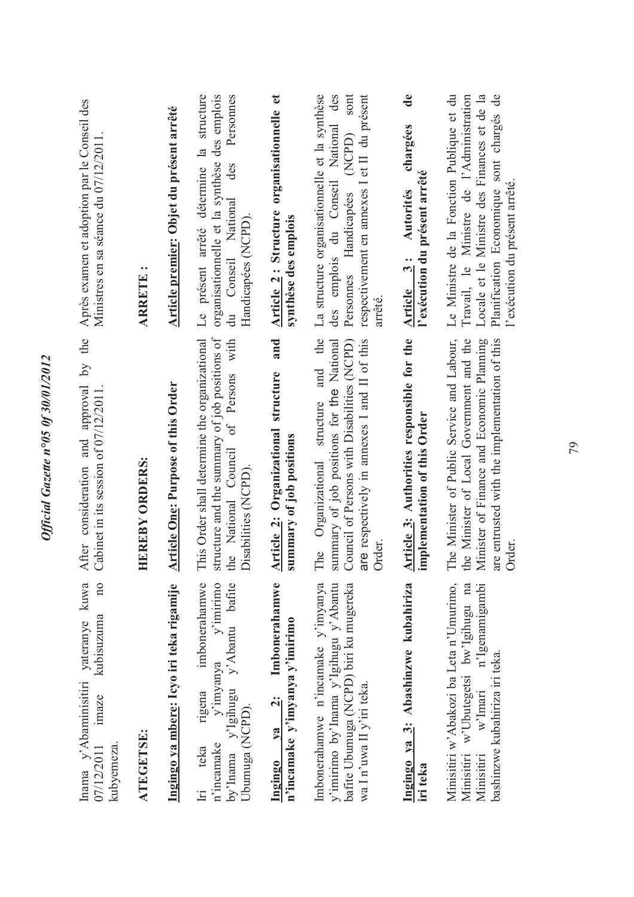| Après examen et adoption par le Conseil des<br>Ministres en sa séance du 07/12/2011                          | <b>ARRETE:</b>        | Article premier: Objet du présent arrêté | présent arrêté détermine la structure<br>organisationnelle et la synthèse des emplois<br>Personnes<br>des<br>du Conseil National<br>Handicapées (NCPD).<br>$\mathbb{R}$ | Article 2: Structure organisationnelle et<br>synthèse des emplois                    | La structure organisationnelle et la synthèse<br>des<br>sont<br>respectivement en annexes I et II du présent<br>National<br>(NCPD)<br>des emplois du Conseil<br>Personnes Handicapées<br>arrêté. | de<br>chargées<br>l'exécution du présent arrêté<br>Autorités<br>Article 3: | Le Ministre de la Fonction Publique et du<br>Travail, le Ministre de l'Administration<br>Planification Economique sont chargés de<br>Locale et le Ministre des Finances et de la<br>l'exécution du présent arrêté. |
|--------------------------------------------------------------------------------------------------------------|-----------------------|------------------------------------------|-------------------------------------------------------------------------------------------------------------------------------------------------------------------------|--------------------------------------------------------------------------------------|--------------------------------------------------------------------------------------------------------------------------------------------------------------------------------------------------|----------------------------------------------------------------------------|--------------------------------------------------------------------------------------------------------------------------------------------------------------------------------------------------------------------|
| the<br>$\tilde{\mathcal{S}}$<br>and approval<br>Cabinet in its session of 07/12/2011.<br>After consideration | <b>HEREBY ORDERS:</b> | Article One: Purpose of this Order       | This Order shall determine the organizational<br>structure and the summary of job positions of<br>the National Council of Persons with<br>Disabilities (NCPD).          | and<br>Article 2: Organizational structure<br>summary of job positions               | and the<br>Council of Persons with Disabilities (NCPD)<br>are respectively in annexes I and II of this<br>summary of job positions for the National<br>The Organizational structure<br>Order.    | Article 3: Authorities responsible for the<br>implementation of this Order | The Minister of Public Service and Labour,<br>the Minister of Local Government and the<br>Minister of Finance and Economic Planning<br>are entrusted with the implementation of this<br>Order                      |
| Inama y'Abaminisitiri yateranye kuwa<br>$\overline{a}$<br>kubisuzuma<br>imaze<br>07/12/2011<br>kubyemeza.    | ATEGETSE:             | Ingingo ya mbere: Icyo iri teka rigamije | imbonerahamwe<br>$y'$ imirimo<br>y'Igihugu y'Abantu bafite<br>y'imyanya<br>rigena<br>Ubumuga (NCPD).<br>n'incamake<br>teka<br>by'Inama<br>İri                           | Imbonerahamwe<br>n'incamake y'imyanya y'imirimo<br>$\frac{2}{3}$<br>$V$ a<br>Ingingo | Imbonerahamwe n'incamake y'imyanya<br>y'imirimo by'Inama y'Igihugu y'Abantu<br>bafite Ubumuga (NCPD) biri ku mugereka<br>wa I n'uwa II y'iri teka.                                               | Ingingo ya 3: Abashinzwe kubahiriza<br>iri teka                            | Minisitiri w'Abakozi ba Leta n'Umurimo,<br>w'Ubutegetsi bw'Igihugu na<br>n'Igenamigambi<br>bashinzwe kubahiriza iri teka.<br>w'Imari<br>Minisitiri<br>Minisitiri                                                   |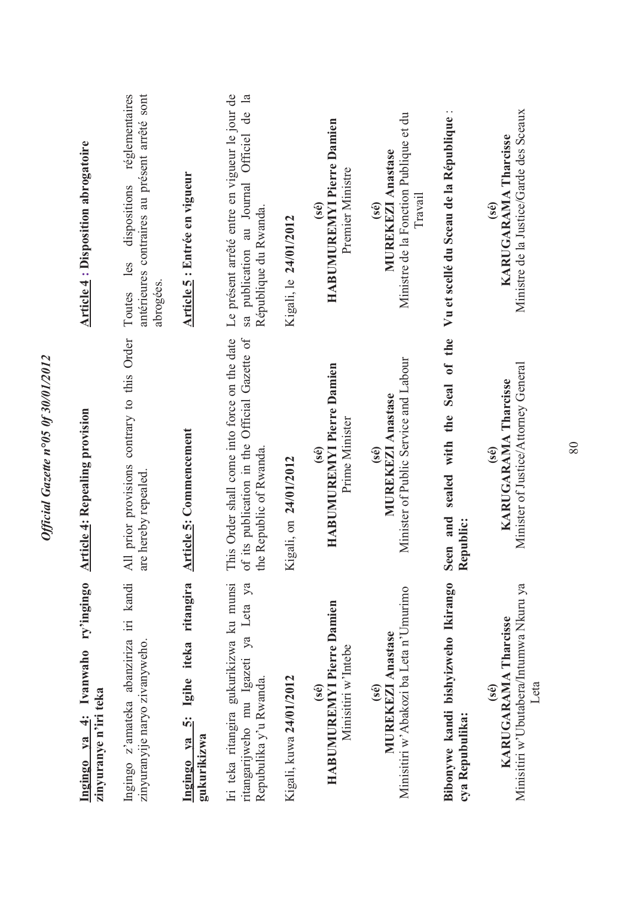| ry'ingingo<br>Ivanwaho<br>zinyuranye n'iri teka<br>Ingingo va 4:                                          | <b>Article 4: Repealing provision</b>                                                                                    | <b>Article 4: Disposition abrogatoire</b>                                                                             |
|-----------------------------------------------------------------------------------------------------------|--------------------------------------------------------------------------------------------------------------------------|-----------------------------------------------------------------------------------------------------------------------|
| Ingingo z'amateka abanziriza iri kandi<br>zinyuranyije naryo zivanyweho.                                  | All prior provisions contrary to this Order<br>are hereby repealed.                                                      | antérieures contraires au présent arrêté sont<br>réglementaires<br>dispositions<br>les<br>abrogées.<br>Toutes         |
| Ingingo ya 5: Igihe iteka ritangira<br>gukurikizwa                                                        | Article 5: Commencement                                                                                                  | Article 5 : Entrée en vigueur                                                                                         |
| Iri teka ritangira gukurikizwa ku munsi<br>ritangarijweho mu Igazeti ya Leta ya<br>Repubulika y'u Rwanda. | This Order shall come into force on the date<br>of its publication in the Official Gazette of<br>the Republic of Rwanda. | Le présent arrêté entre en vigueur le jour de<br>de la<br>sa publication au Journal Officiel<br>République du Rwanda. |
| Kigali, kuwa 24/01/2012                                                                                   | Kigali, on 24/01/2012                                                                                                    | Kigali, le 24/01/2012                                                                                                 |
| HABUMUREMYI Pierre Damien<br>Minisitiri w'Intebe<br>(se)                                                  | HABUMUREMYI Pierre Damien<br>Prime Minister<br>$(s\hat{e})$                                                              | HABUMUREMYI Pierre Damien<br>Premier Ministre<br>$(s\acute{e})$                                                       |
| Minisitiri w'Abakozi ba Leta n'Umurimo<br><b>MUREKEZI Anastase</b><br>(sé)                                | Minister of Public Service and Labour<br><b>MUREKEZI Anastase</b><br>$(s\hat{e})$                                        | Ministre de la Fonction Publique et du<br><b>MUREKEZI Anastase</b><br><b>Travai</b><br>(sé)                           |
| Bibonywe kandi bishyizweho Ikirango<br>cya Repubulika:                                                    | Seal of the<br>with the<br>sealed<br>Seen and<br>Republic:                                                               | Vu et scellé du Sceau de la République :                                                                              |
| Minisitiri w'Ubutabera/Intumwa Nkuru ya<br>KARUGARAMA Tharcisse<br>Leta<br>$(s\acute{e})$                 | Minister of Justice/Attorney General<br>KARUGARAMA Tharcisse<br>$(s\hat{e})$                                             | Ministre de la Justice/Garde des Sceaux<br><b>KARUGARAMA Tharcisse</b><br>(sé)                                        |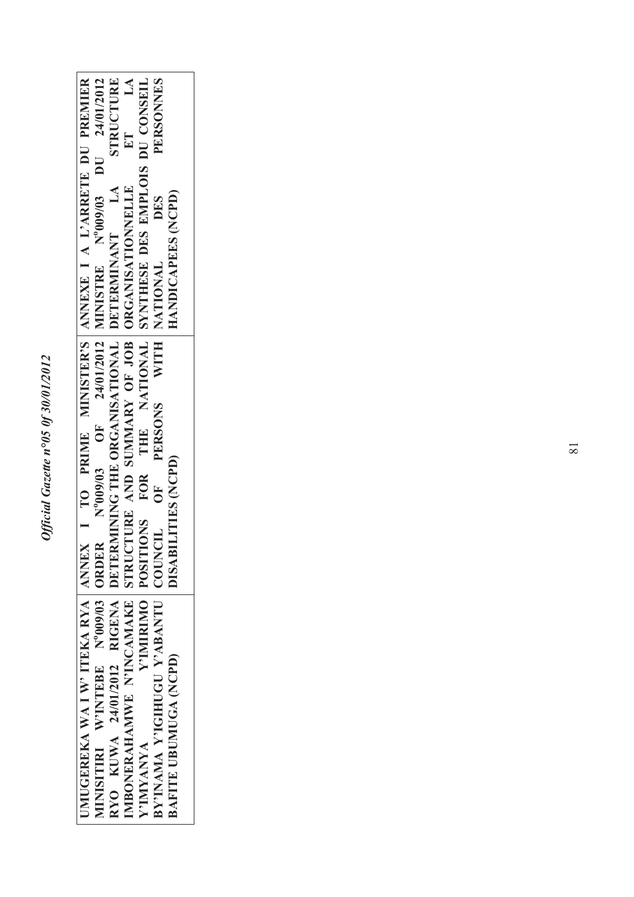|                                                                                                                                                                                                  | STRUCTURE                                                                | ET LA                                                                     |                                                                      | <b>PERSONNES</b>                      |                            |
|--------------------------------------------------------------------------------------------------------------------------------------------------------------------------------------------------|--------------------------------------------------------------------------|---------------------------------------------------------------------------|----------------------------------------------------------------------|---------------------------------------|----------------------------|
| <b>JMUGEREKA WA I W' ITEKA RYA   ANNEX   I TO PRIME MINISTER'S   ANNEXE I A L'ARRETE DU PREMIER</b><br>MINISITIRI W'INTEBE N°009/03 ORDER N°009/03 OF 24/01/2012 MINISTRE N°009/03 DU 24/01/2012 | RYO KUWA 24/01/2012 RIGENA DETERMINING THE ORGANISATIONAL DETERMINANT LA | IMBONERAHAMWE N'INCAMAKE STRUCTURE AND SUMMARY OF JOB   ORGANISATIONNELLE | Y'IMIRIMO POSITIONS FOR THE NATIONAL SYNTHESE DES EMPLOIS DU CONSEIL | DES                                   | HANDICAPEES (NCPD)         |
|                                                                                                                                                                                                  |                                                                          |                                                                           |                                                                      |                                       |                            |
|                                                                                                                                                                                                  |                                                                          |                                                                           |                                                                      | PERSONS WITH NATIONAL                 |                            |
|                                                                                                                                                                                                  |                                                                          |                                                                           |                                                                      |                                       |                            |
|                                                                                                                                                                                                  |                                                                          |                                                                           |                                                                      | UF <sub></sub>                        | <b>DISABILITIES (NCPD)</b> |
|                                                                                                                                                                                                  |                                                                          |                                                                           |                                                                      |                                       |                            |
|                                                                                                                                                                                                  |                                                                          |                                                                           |                                                                      |                                       |                            |
|                                                                                                                                                                                                  |                                                                          |                                                                           |                                                                      |                                       |                            |
|                                                                                                                                                                                                  |                                                                          |                                                                           | Y'IMYANYA                                                            | BY'INAMA Y'IGIHUGU Y'ABANTU   COUNCIL | BAFITE UBUMUGA (NCPD)      |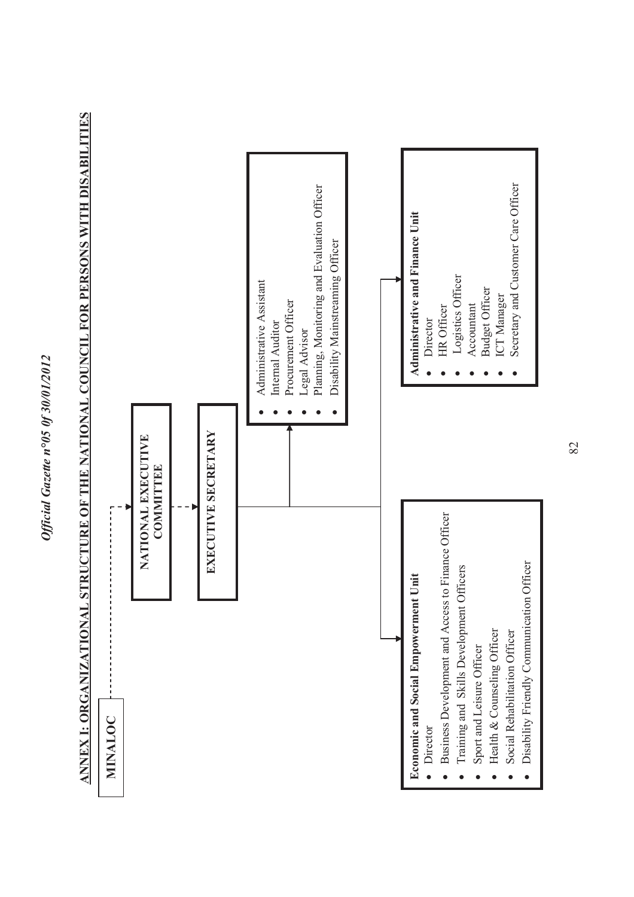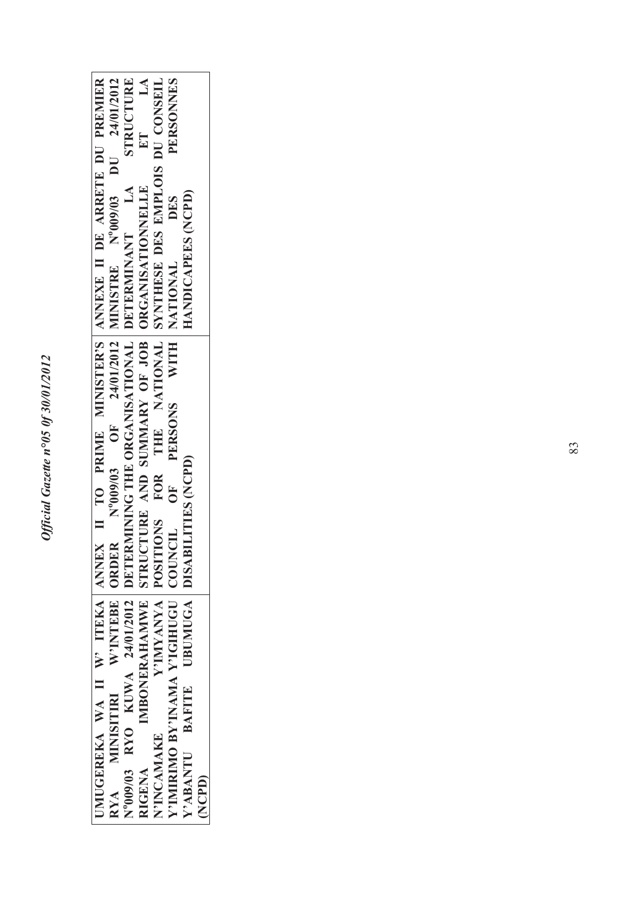|                                                                                      |                                                                                      | STRUCTURE                                                                  | ET LA                                                          |                                                                      | PERSONNES                            |                                             |        |
|--------------------------------------------------------------------------------------|--------------------------------------------------------------------------------------|----------------------------------------------------------------------------|----------------------------------------------------------------|----------------------------------------------------------------------|--------------------------------------|---------------------------------------------|--------|
| UMUGEREKA WA II W' ITEKA ANNEX II TO PRIME MINISTER'S ANNEXE II DE ARRETE DU PREMIER | RYA MINISITIRI W'INTEBE ORDER Nº009/03 OF 24/01/2012 MINISTRE Nº009/03 DU 24/01/2012 | N°009/03 RYO KUWA 24/01/2012 DETERMINING THE ORGANISATIONAL DETERMINANT LA | IMBONERAHAMWE STRUCTURE AND SUMMARY OF JOB   ORGANISATIONNELLE | Y'IMYANYA POSITIONS FOR THE NATIONAL SYNTHESE DES EMPLOIS DU CONSEIL | <b>DES</b>                           | HANDICAPEES (NCPD)                          |        |
|                                                                                      |                                                                                      |                                                                            |                                                                |                                                                      |                                      |                                             |        |
|                                                                                      |                                                                                      |                                                                            |                                                                |                                                                      | PERSONS WITH NATIONAL                |                                             |        |
|                                                                                      |                                                                                      |                                                                            |                                                                |                                                                      |                                      |                                             |        |
|                                                                                      |                                                                                      |                                                                            |                                                                |                                                                      | OF <sub></sub>                       | Y'ABANTU BAFITE UBUMUGA DISABILITIES (NCPD) |        |
|                                                                                      |                                                                                      |                                                                            |                                                                |                                                                      |                                      |                                             |        |
|                                                                                      |                                                                                      |                                                                            |                                                                |                                                                      |                                      |                                             |        |
|                                                                                      |                                                                                      |                                                                            |                                                                |                                                                      |                                      |                                             |        |
|                                                                                      |                                                                                      |                                                                            | RIGENA                                                         | N'INCAMAKE                                                           | Y'IMIRIMO BY'INAMA Y'IGIHUGU COUNCIL |                                             | (NCPD) |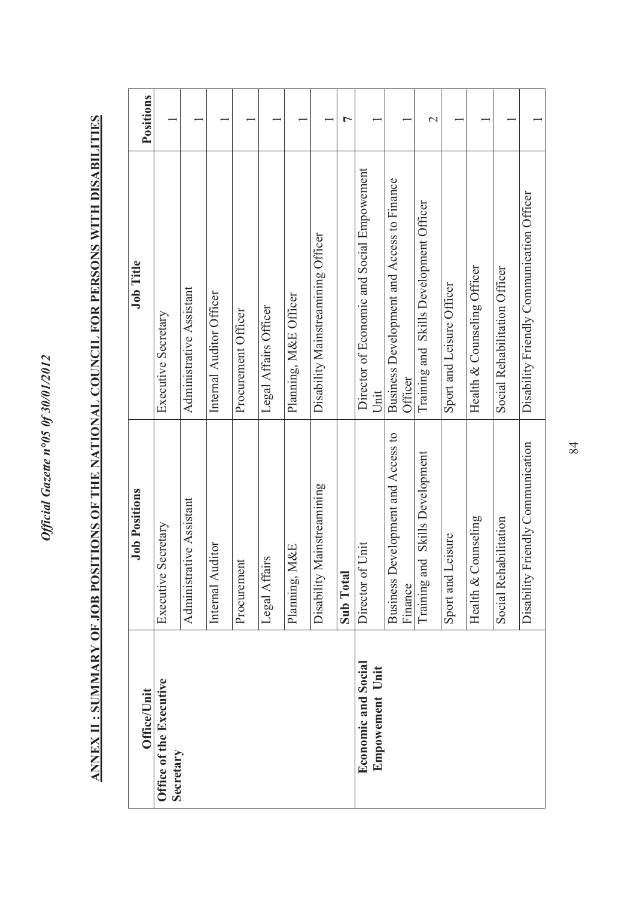## ANNEX II : SUMMARY OF JOB POSITIONS OF THE NATIONAL COUNCIL FOR PERSONS WITH DISABILITIES **ANNEX II : SUMMARY OF JOB POSITIONS OF THE NATIONAL COUNCIL FOR PERSONS WITH DISABILITIES**

| <b>Office/Unit</b>                            | <b>Job Positions</b>                              | <b>Job Title</b>                                      | Positions        |
|-----------------------------------------------|---------------------------------------------------|-------------------------------------------------------|------------------|
| Office of the Executive<br>Secretary          | Executive Secretary                               | Executive Secretary                                   |                  |
|                                               | Administrative Assistant                          | Administrative Assistant                              |                  |
|                                               | Internal Auditor                                  | Internal Auditor Officer                              |                  |
|                                               | Procurement                                       | Procurement Officer                                   |                  |
|                                               | Legal Affairs                                     | Legal Affairs Officer                                 |                  |
|                                               | Planning, M&E                                     | Planning, M&E Officer                                 |                  |
|                                               | Disability Mainstreamining                        | Disability Mainstreamining Officer                    |                  |
|                                               | Sub Total                                         |                                                       | ᡕ                |
| <b>Economic and Social</b><br>Empowement Unit | Unit<br>Director of                               | Director of Economic and Social Empowement<br>Unit    |                  |
|                                               | evelopment and Access to<br>Business D<br>Finance | Business Development and Access to Finance<br>Officer |                  |
|                                               | Training and Skills Development                   | Training and Skills Development Officer               | $\mathrel{\sim}$ |
|                                               | Sport and Leisure                                 | Sport and Leisure Officer                             |                  |
|                                               | Health & Counseling                               | Health & Counseling Officer                           |                  |
|                                               | Social Rehabilitation                             | Social Rehabilitation Officer                         |                  |
|                                               | Disability Friendly Communication                 | Disability Friendly Communication Officer             |                  |

84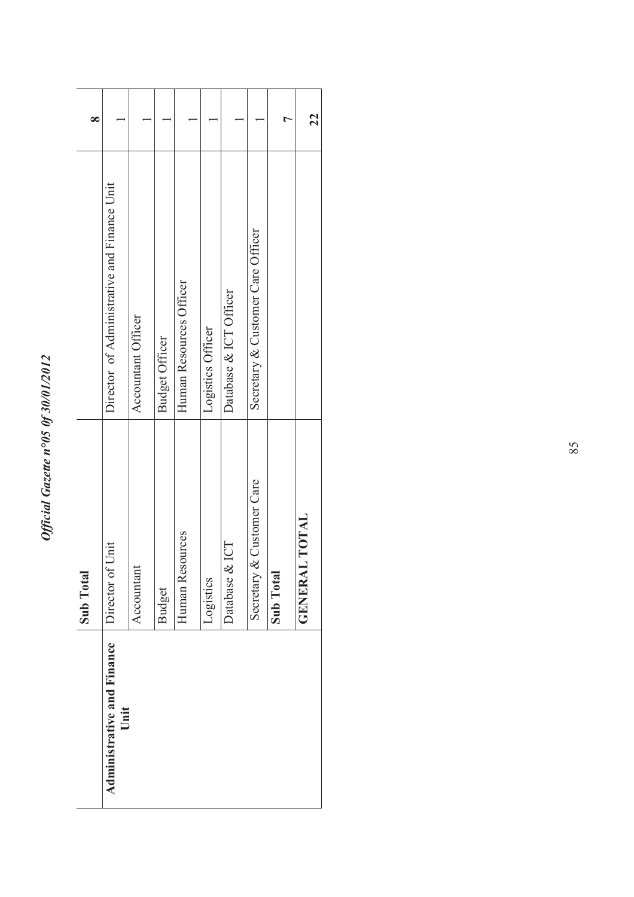|                                           | <b>Sub Total</b>                 |                                             | ∝  |
|-------------------------------------------|----------------------------------|---------------------------------------------|----|
| <b>Administrative and Finance</b><br>Unit | Unit<br>Director of              | Director of Administrative and Finance Unit |    |
|                                           | Accountant                       | Accountant Officer                          |    |
|                                           | <b>Budget</b>                    | <b>Budget Officer</b>                       |    |
|                                           | Human Resources                  | Human Resources Officer                     |    |
|                                           | Logistics                        | Logistics Officer                           |    |
|                                           | Database & ICT                   | Database & ICT Officer                      |    |
|                                           | & Customer Care<br>Secretary     | Secretary & Customer Care Officer           |    |
|                                           | Sub Total                        |                                             |    |
|                                           | <b>L TOTAL</b><br><b>GENERAI</b> |                                             | 22 |
|                                           |                                  |                                             |    |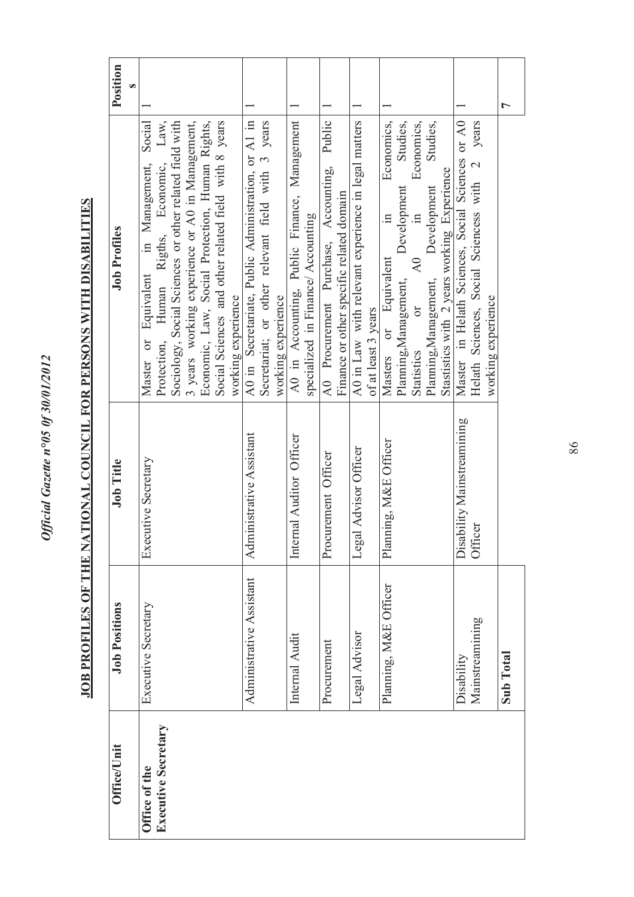| Position             | S |                                                                                                                                                                                                                                                                                                                                                  |                                                                                                                                |                                                                                    |                                                                                            |                                                                            |                                                                                                                                                                                                                                                                     |                                                                                                                             | L         |
|----------------------|---|--------------------------------------------------------------------------------------------------------------------------------------------------------------------------------------------------------------------------------------------------------------------------------------------------------------------------------------------------|--------------------------------------------------------------------------------------------------------------------------------|------------------------------------------------------------------------------------|--------------------------------------------------------------------------------------------|----------------------------------------------------------------------------|---------------------------------------------------------------------------------------------------------------------------------------------------------------------------------------------------------------------------------------------------------------------|-----------------------------------------------------------------------------------------------------------------------------|-----------|
| <b>Job Profiles</b>  |   | Human Rigths, Economic, Law,<br>Social Sciences and other related field with 8 years<br>Social<br>Sociology, Social Sciences or other related field with<br>3 years working experience or A0 in Management,<br>Economic, Law, Social Protection, Human Rights,<br>in Management,<br>Equivalent<br>working experience<br>Protection,<br>Master or | A0 in Secretariate, Public Administration, or A1 in<br>Secretariat; or other relevant field with 3 years<br>working experience | A0 in Accounting, Public Finance, Management<br>specialized in Finance/ Accounting | Public<br>AO Procurement Purchase, Accounting,<br>Finance or other specific related domain | A0 in Law with relevant experience in legal matters<br>of at least 3 years | Economics,<br>Studies,<br>Economics,<br>Studies,<br>Stastistics with 2 years working Experience<br>Development<br>Development<br>$\Xi$<br>$\equiv$<br>A0<br>Equivalent<br>Planning, Management,<br>Planning, Management,<br>öľ<br>$\sigma$<br>Statistics<br>Masters | Master in Helath Sciences, Social Sciences or A0<br>years<br>Helath Sciences, Social Sciencess with 2<br>working experience |           |
| Job Title            |   | Executive Secretary                                                                                                                                                                                                                                                                                                                              | Administrative Assistant                                                                                                       | Internal Auditor Officer                                                           | Procurement Officer                                                                        | Legal Advisor Officer                                                      | Planning, M&E Officer                                                                                                                                                                                                                                               | Disability Mainstreamining<br>Officer                                                                                       |           |
| <b>Job Positions</b> |   | Executive Secretary                                                                                                                                                                                                                                                                                                                              | Administrative Assistant                                                                                                       | Internal Audit                                                                     | Procurement                                                                                | Legal Advisor                                                              | Planning, M&E Officer                                                                                                                                                                                                                                               | Mainstreamining<br>Disability                                                                                               | Sub Total |
| <b>Office/Unit</b>   |   | <b>Executive Secretary</b><br>Office of the                                                                                                                                                                                                                                                                                                      |                                                                                                                                |                                                                                    |                                                                                            |                                                                            |                                                                                                                                                                                                                                                                     |                                                                                                                             |           |

## JOB PROFILES OF THE NATIONAL COUNCIL FOR PERSONS WITH DISABILITIES **JOB PROFILES OF THE NATIONAL COUNCIL FOR PERSONS WITH DISABILITIES**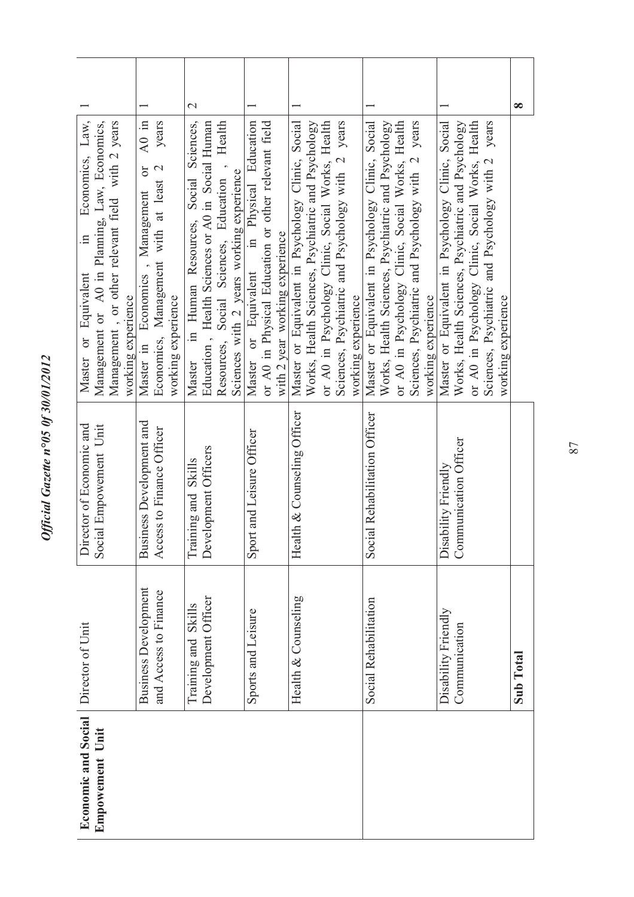| J                            |
|------------------------------|
|                              |
|                              |
| $\sim$ 0.7 $\sim$<br>ì       |
|                              |
|                              |
| $\frac{1}{2}$<br>N f 2 N / N |
| `<br>í                       |
|                              |
| 5<br>ŕ                       |
| 500<br>Š                     |
|                              |
|                              |
| z                            |
| ٦                            |
|                              |
| ŕ                            |
| l                            |
| t                            |
|                              |
|                              |
|                              |
|                              |
|                              |
|                              |
|                              |
| e<br>C                       |

| Economic and Social<br><b>Empowement Unit</b> | Director of Unit            | Director of Economic and<br>Social Empowement Unit | Economics, Law,<br>Management or A0 in Planning, Law, Economics,<br>$\overline{\mathbf{u}}$<br>Master or Equivalent |               |
|-----------------------------------------------|-----------------------------|----------------------------------------------------|---------------------------------------------------------------------------------------------------------------------|---------------|
|                                               |                             |                                                    | Management, or other relevant field with 2 years<br>working experience                                              |               |
|                                               | <b>Business Development</b> | <b>Business Development and</b>                    | $A0$ in<br>$\sigma$<br>Economics, Management<br>Master in                                                           |               |
|                                               | and Access to Finance       | Access to Finance Officer                          | years<br>Economics, Management with at least 2                                                                      |               |
|                                               |                             |                                                    | working experience                                                                                                  |               |
|                                               | Skills<br>Training and      | Skills<br>Training and                             | Sciences,<br>Social<br>in Human Resources,<br>Master                                                                | $\mathcal{C}$ |
|                                               | Development Officer         | Development Officers                               | Education, Health Sciences or A0 in Social Human                                                                    |               |
|                                               |                             |                                                    | Health<br>$\ddot{\phantom{0}}$<br>Resources, Social Sciences, Education                                             |               |
|                                               |                             |                                                    | Sciences with 2 years working experience                                                                            |               |
|                                               | Sports and Leisure          | Sport and Leisure Officer                          | or Equivalent in Physical Education<br>Master                                                                       |               |
|                                               |                             |                                                    | or A0 in Physical Education or other relevant field                                                                 |               |
|                                               |                             |                                                    | with 2 year working experience                                                                                      |               |
|                                               | Health & Counseling         | Health & Counseling Officer                        | Master or Equivalent in Psychology Clinic, Social                                                                   |               |
|                                               |                             |                                                    | Works, Health Sciences, Psychiatric and Psychology                                                                  |               |
|                                               |                             |                                                    | or A0 in Psychology Clinic, Social Works, Health                                                                    |               |
|                                               |                             |                                                    | Sciences, Psychiatric and Psychology with 2 years                                                                   |               |
|                                               |                             |                                                    | working experience                                                                                                  |               |
|                                               | Social Rehabilitation       | Social Rehabilitation Officer                      | Master or Equivalent in Psychology Clinic, Social                                                                   |               |
|                                               |                             |                                                    | Works, Health Sciences, Psychiatric and Psychology                                                                  |               |
|                                               |                             |                                                    | or A0 in Psychology Clinic, Social Works, Health                                                                    |               |
|                                               |                             |                                                    | Sciences, Psychiatric and Psychology with 2 years                                                                   |               |
|                                               |                             |                                                    | working experience                                                                                                  |               |
|                                               | Disability Friendly         | Disability Friendly                                | Master or Equivalent in Psychology Clinic, Social                                                                   |               |
|                                               | Communication               | Communication Officer                              | Works, Health Sciences, Psychiatric and Psychology                                                                  |               |
|                                               |                             |                                                    | or A0 in Psychology Clinic, Social Works, Health                                                                    |               |
|                                               |                             |                                                    | years<br>Sciences, Psychiatric and Psychology with 2                                                                |               |
|                                               |                             |                                                    | working experience                                                                                                  |               |
|                                               | <b>Sub Total</b>            |                                                    |                                                                                                                     | ∞             |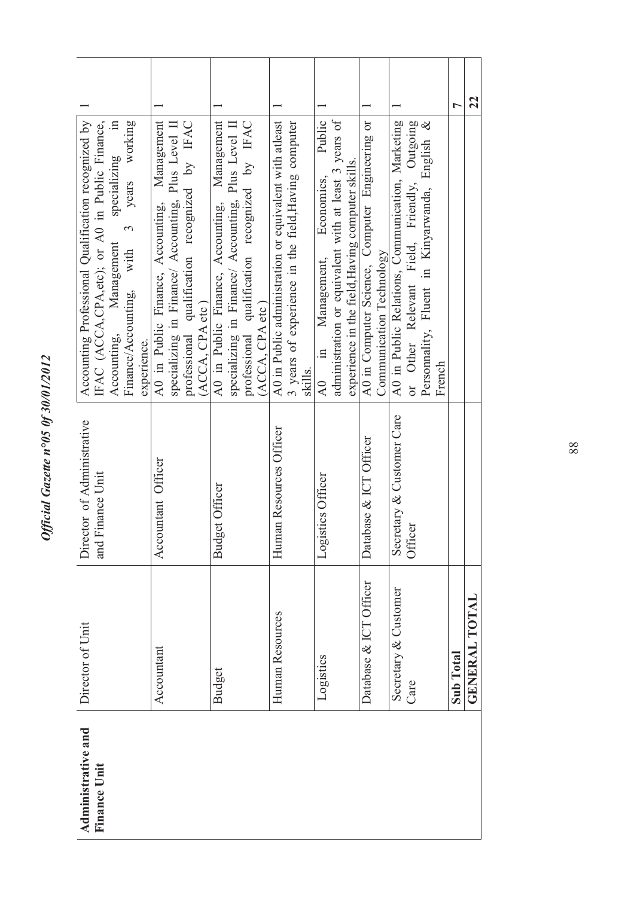| J                                                            |
|--------------------------------------------------------------|
| i<br>J                                                       |
|                                                              |
|                                                              |
|                                                              |
| ١                                                            |
| ֖ׅׅׅ֧֧֧֧֪֪ׅ֖֚֚֚֚֚֚֚֚֚֚֚֚֚֚֚֚֚֚֬֡֡֡֡֡֡֡֡֡֡֡֬֝֬֝֬֓֡֬֝֬֓֬֝֬֞֝֬֝ |
| ١                                                            |
| 0f30/01/2012<br>℩                                            |
| ۵                                                            |
| ٦<br>ĺ                                                       |
| SUO<br>∍                                                     |
|                                                              |
|                                                              |
|                                                              |
| Î                                                            |
|                                                              |
|                                                              |
|                                                              |
|                                                              |
|                                                              |
|                                                              |
|                                                              |
|                                                              |
|                                                              |

| Administrative and<br><b>Finance Unit</b> | Director of Unit             | Director of Administrative<br>and Finance Unit | Accounting Professional Qualification recognized by<br>$\Xi$<br>IFAC (ACCA,CPA,etc); or A0 in Public Finance,<br>years working<br>specializing<br>$\tilde{\phantom{0}}$<br>Management<br>Finance/Accounting, with<br>Accounting,<br>experience. |    |
|-------------------------------------------|------------------------------|------------------------------------------------|-------------------------------------------------------------------------------------------------------------------------------------------------------------------------------------------------------------------------------------------------|----|
|                                           | Accountant                   | Accountant Officer                             | Management<br>professional qualification recognized by IFAC<br>specializing in Finance/ Accounting, Plus Level II<br>A0 in Public Finance, Accounting,<br>(ACCA, CPA etc)                                                                       |    |
|                                           | <b>Budget</b>                | <b>Budget Officer</b>                          | Management<br>professional qualification recognized by IFAC<br>specializing in Finance/ Accounting, Plus Level II<br>A0 in Public Finance, Accounting,<br>(ACCA, CPA etc)                                                                       |    |
|                                           | Human Resources              | nan Resources Officer<br>Hum                   | A0 in Public administration or equivalent with atleast<br>3 years of experience in the field, Having computer<br>skills.                                                                                                                        |    |
|                                           | Logistics                    | Logistics Officer                              | administration or equivalent with at least 3 years of<br>Public<br>experience in the field, Having computer skills.<br>Economics,<br>Management,<br>$\mathbf{m}$<br>$\lambda 0$                                                                 |    |
|                                           | Database & ICT Officer       | Database & ICT Officer                         | A0 in Computer Science, Computer Engineering or<br>Communication Technology                                                                                                                                                                     |    |
|                                           | Secretary & Customer<br>Care | Secretary & Customer Care<br>Officer           | A0 in Public Relations, Communication, Marketing<br>or Other Relevant Field, Friendly, Outgoing<br>Personnality, Fluent in Kinyarwanda, English &<br>French                                                                                     |    |
|                                           | Sub Total                    |                                                |                                                                                                                                                                                                                                                 | ᡕ  |
|                                           | <b>GENERAL TOTAL</b>         |                                                |                                                                                                                                                                                                                                                 | 22 |